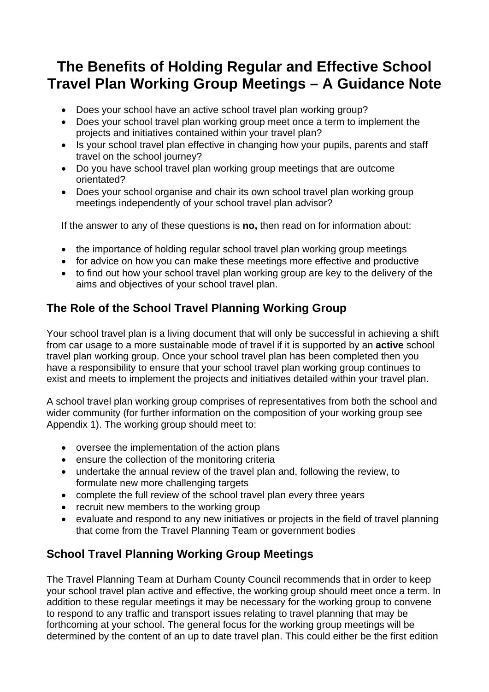# **The Benefits of Holding Regular and Effective School Travel Plan Working Group Meetings – A Guidance Note**

- Does your school have an active school travel plan working group?
- Does your school travel plan working group meet once a term to implement the projects and initiatives contained within your travel plan?
- Is your school travel plan effective in changing how your pupils, parents and staff travel on the school journey?
- Do you have school travel plan working group meetings that are outcome orientated?
- Does your school organise and chair its own school travel plan working group meetings independently of your school travel plan advisor?

If the answer to any of these questions is **no,** then read on for information about:

- the importance of holding regular school travel plan working group meetings
- for advice on how you can make these meetings more effective and productive
- to find out how your school travel plan working group are key to the delivery of the aims and objectives of your school travel plan.

#### **The Role of the School Travel Planning Working Group**

Your school travel plan is a living document that will only be successful in achieving a shift from car usage to a more sustainable mode of travel if it is supported by an **active** school travel plan working group. Once your school travel plan has been completed then you have a responsibility to ensure that your school travel plan working group continues to exist and meets to implement the projects and initiatives detailed within your travel plan.

A school travel plan working group comprises of representatives from both the school and wider community (for further information on the composition of your working group see Appendix 1). The working group should meet to:

- oversee the implementation of the action plans
- ensure the collection of the monitoring criteria
- undertake the annual review of the travel plan and, following the review, to formulate new more challenging targets
- complete the full review of the school travel plan every three years
- recruit new members to the working group
- evaluate and respond to any new initiatives or projects in the field of travel planning that come from the Travel Planning Team or government bodies

#### **School Travel Planning Working Group Meetings**

The Travel Planning Team at Durham County Council recommends that in order to keep your school travel plan active and effective, the working group should meet once a term. In addition to these regular meetings it may be necessary for the working group to convene to respond to any traffic and transport issues relating to travel planning that may be forthcoming at your school. The general focus for the working group meetings will be determined by the content of an up to date travel plan. This could either be the first edition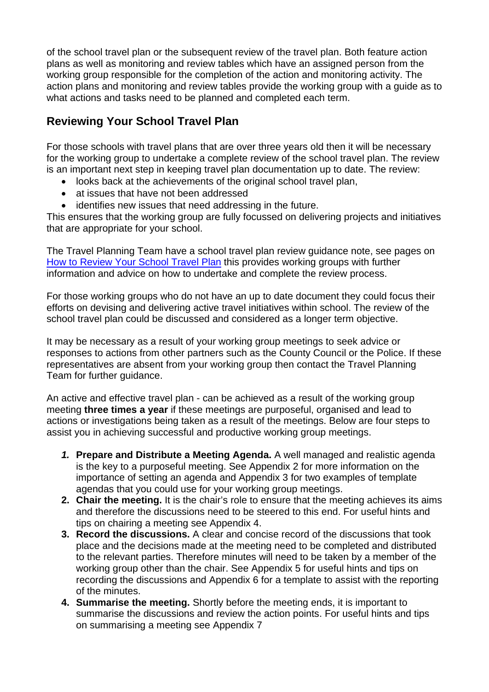of the school travel plan or the subsequent review of the travel plan. Both feature action plans as well as monitoring and review tables which have an assigned person from the working group responsible for the completion of the action and monitoring activity. The action plans and monitoring and review tables provide the working group with a guide as to what actions and tasks need to be planned and completed each term.

#### **Reviewing Your School Travel Plan**

For those schools with travel plans that are over three years old then it will be necessary for the working group to undertake a complete review of the school travel plan. The review is an important next step in keeping travel plan documentation up to date. The review:

- looks back at the achievements of the original school travel plan,
- at issues that have not been addressed
- identifies new issues that need addressing in the future.

This ensures that the working group are fully focussed on delivering projects and initiatives that are appropriate for your school.

The Travel Planning Team have a school travel plan review guidance note, see pages on [How to Review Your School Travel Plan](http://www.durham.gov.uk/Pages/Service.aspx?ServiceId=7902) this provides working groups with further information and advice on how to undertake and complete the review process.

For those working groups who do not have an up to date document they could focus their efforts on devising and delivering active travel initiatives within school. The review of the school travel plan could be discussed and considered as a longer term objective.

It may be necessary as a result of your working group meetings to seek advice or responses to actions from other partners such as the County Council or the Police. If these representatives are absent from your working group then contact the Travel Planning Team for further guidance.

An active and effective travel plan - can be achieved as a result of the working group meeting **three times a year** if these meetings are purposeful, organised and lead to actions or investigations being taken as a result of the meetings. Below are four steps to assist you in achieving successful and productive working group meetings.

- *1.* **Prepare and Distribute a Meeting Agenda.** A well managed and realistic agenda is the key to a purposeful meeting. See Appendix 2 for more information on the importance of setting an agenda and Appendix 3 for two examples of template agendas that you could use for your working group meetings.
- **2. Chair the meeting.** It is the chair's role to ensure that the meeting achieves its aims and therefore the discussions need to be steered to this end. For useful hints and tips on chairing a meeting see Appendix 4.
- **3. Record the discussions.** A clear and concise record of the discussions that took place and the decisions made at the meeting need to be completed and distributed to the relevant parties. Therefore minutes will need to be taken by a member of the working group other than the chair. See Appendix 5 for useful hints and tips on recording the discussions and Appendix 6 for a template to assist with the reporting of the minutes.
- **4. Summarise the meeting.** Shortly before the meeting ends, it is important to summarise the discussions and review the action points. For useful hints and tips on summarising a meeting see Appendix 7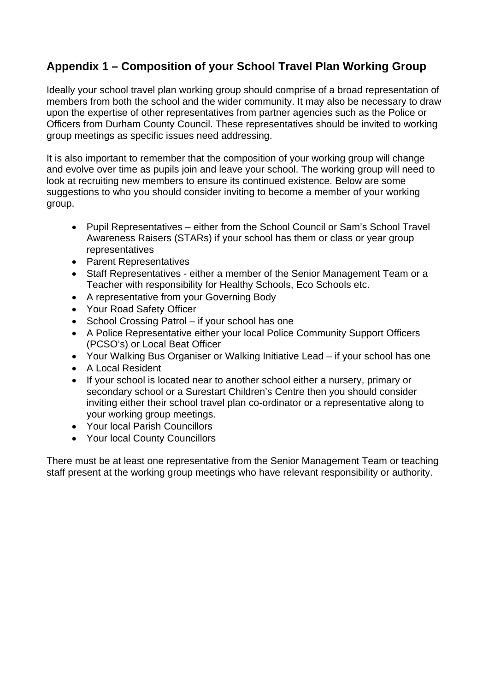#### **Appendix 1 – Composition of your School Travel Plan Working Group**

Ideally your school travel plan working group should comprise of a broad representation of members from both the school and the wider community. It may also be necessary to draw upon the expertise of other representatives from partner agencies such as the Police or Officers from Durham County Council. These representatives should be invited to working group meetings as specific issues need addressing.

It is also important to remember that the composition of your working group will change and evolve over time as pupils join and leave your school. The working group will need to look at recruiting new members to ensure its continued existence. Below are some suggestions to who you should consider inviting to become a member of your working group.

- Pupil Representatives either from the School Council or Sam's School Travel Awareness Raisers (STARs) if your school has them or class or year group representatives
- Parent Representatives
- Staff Representatives either a member of the Senior Management Team or a Teacher with responsibility for Healthy Schools, Eco Schools etc.
- A representative from your Governing Body
- Your Road Safety Officer
- School Crossing Patrol if your school has one
- A Police Representative either your local Police Community Support Officers (PCSO's) or Local Beat Officer
- Your Walking Bus Organiser or Walking Initiative Lead if your school has one
- A Local Resident
- If your school is located near to another school either a nursery, primary or secondary school or a Surestart Children's Centre then you should consider inviting either their school travel plan co-ordinator or a representative along to your working group meetings.
- Your local Parish Councillors
- Your local County Councillors

There must be at least one representative from the Senior Management Team or teaching staff present at the working group meetings who have relevant responsibility or authority.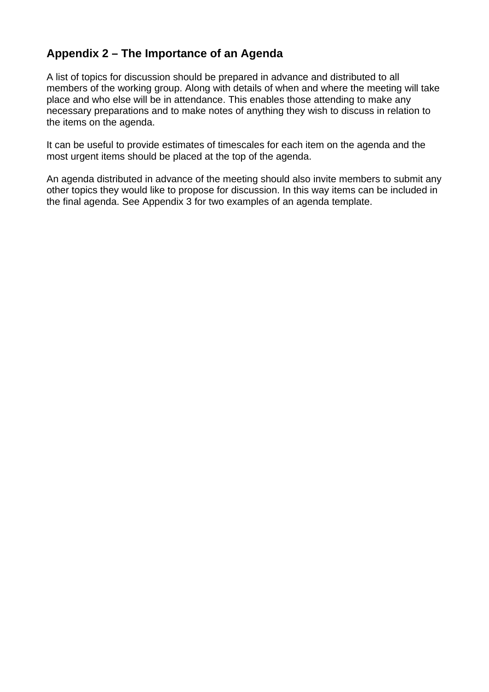#### **Appendix 2 – The Importance of an Agenda**

A list of topics for discussion should be prepared in advance and distributed to all members of the working group. Along with details of when and where the meeting will take place and who else will be in attendance. This enables those attending to make any necessary preparations and to make notes of anything they wish to discuss in relation to the items on the agenda.

It can be useful to provide estimates of timescales for each item on the agenda and the most urgent items should be placed at the top of the agenda.

An agenda distributed in advance of the meeting should also invite members to submit any other topics they would like to propose for discussion. In this way items can be included in the final agenda. See Appendix 3 for two examples of an agenda template.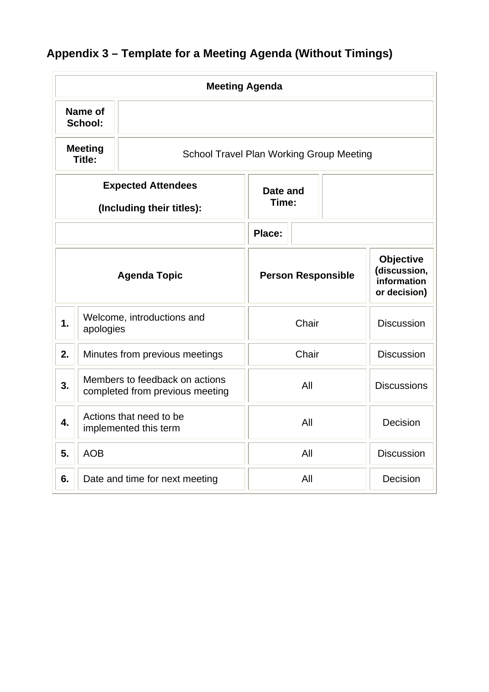|  | Appendix 3 - Template for a Meeting Agenda (Without Timings) |  |  |  |  |
|--|--------------------------------------------------------------|--|--|--|--|
|--|--------------------------------------------------------------|--|--|--|--|

| <b>Meeting Agenda</b>                                  |                                                                             |                                                  |        |                                                                 |                    |  |
|--------------------------------------------------------|-----------------------------------------------------------------------------|--------------------------------------------------|--------|-----------------------------------------------------------------|--------------------|--|
|                                                        | Name of<br>School:                                                          |                                                  |        |                                                                 |                    |  |
|                                                        | <b>Meeting</b><br><b>School Travel Plan Working Group Meeting</b><br>Title: |                                                  |        |                                                                 |                    |  |
| <b>Expected Attendees</b><br>(Including their titles): |                                                                             | Date and<br>Time:                                |        |                                                                 |                    |  |
|                                                        |                                                                             |                                                  | Place: |                                                                 |                    |  |
| <b>Agenda Topic</b>                                    |                                                                             | <b>Person Responsible</b>                        |        | <b>Objective</b><br>(discussion,<br>information<br>or decision) |                    |  |
| 1.                                                     | Welcome, introductions and<br>apologies                                     |                                                  | Chair  |                                                                 | <b>Discussion</b>  |  |
| 2.                                                     | Minutes from previous meetings                                              |                                                  | Chair  |                                                                 | <b>Discussion</b>  |  |
| 3.                                                     | Members to feedback on actions<br>completed from previous meeting           |                                                  | All    |                                                                 | <b>Discussions</b> |  |
| $\overline{4}$ .                                       |                                                                             | Actions that need to be<br>implemented this term | All    |                                                                 | Decision           |  |
| 5.                                                     | <b>AOB</b>                                                                  |                                                  | All    |                                                                 | <b>Discussion</b>  |  |
| 6.                                                     |                                                                             | Date and time for next meeting                   | All    |                                                                 | Decision           |  |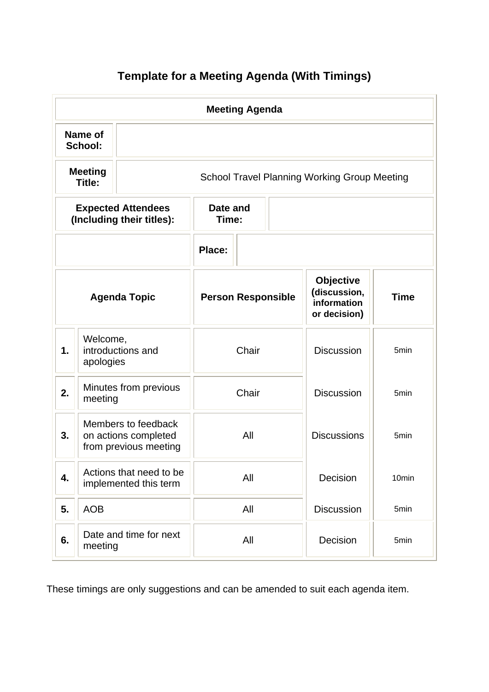### **Template for a Meeting Agenda (With Timings)**

| <b>Meeting Agenda</b>                                  |                                                                      |                                                  |        |                                                                 |                    |                                                     |  |
|--------------------------------------------------------|----------------------------------------------------------------------|--------------------------------------------------|--------|-----------------------------------------------------------------|--------------------|-----------------------------------------------------|--|
| <b>Name of</b><br>School:                              |                                                                      |                                                  |        |                                                                 |                    |                                                     |  |
| <b>Meeting</b><br>Title:                               |                                                                      |                                                  |        |                                                                 |                    | <b>School Travel Planning Working Group Meeting</b> |  |
| <b>Expected Attendees</b><br>(Including their titles): |                                                                      | Date and<br>Time:                                |        |                                                                 |                    |                                                     |  |
|                                                        |                                                                      |                                                  | Place: |                                                                 |                    |                                                     |  |
| <b>Agenda Topic</b>                                    |                                                                      | <b>Person Responsible</b>                        |        | <b>Objective</b><br>(discussion,<br>information<br>or decision) | <b>Time</b>        |                                                     |  |
| Welcome,<br>introductions and<br>1.<br>apologies       |                                                                      | Chair                                            |        | <b>Discussion</b>                                               | 5 <sub>min</sub>   |                                                     |  |
| 2.                                                     | Minutes from previous<br>meeting                                     |                                                  | Chair  |                                                                 | <b>Discussion</b>  | 5min                                                |  |
| 3.                                                     | Members to feedback<br>on actions completed<br>from previous meeting |                                                  | All    |                                                                 | <b>Discussions</b> | 5 <sub>min</sub>                                    |  |
| 4.                                                     |                                                                      | Actions that need to be<br>implemented this term | All    |                                                                 | Decision           | 10min                                               |  |
| 5.                                                     | <b>AOB</b>                                                           |                                                  | All    |                                                                 | <b>Discussion</b>  | 5min                                                |  |
| 6.                                                     | Date and time for next<br>meeting                                    |                                                  | All    |                                                                 | Decision           | 5min                                                |  |

These timings are only suggestions and can be amended to suit each agenda item.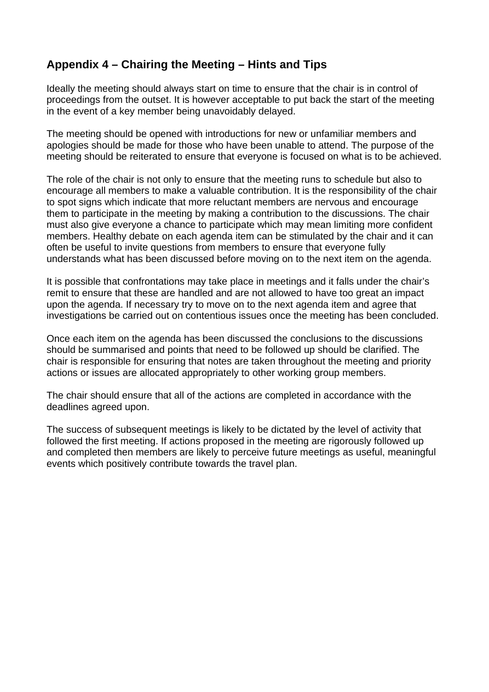#### **Appendix 4 – Chairing the Meeting – Hints and Tips**

Ideally the meeting should always start on time to ensure that the chair is in control of proceedings from the outset. It is however acceptable to put back the start of the meeting in the event of a key member being unavoidably delayed.

The meeting should be opened with introductions for new or unfamiliar members and apologies should be made for those who have been unable to attend. The purpose of the meeting should be reiterated to ensure that everyone is focused on what is to be achieved.

The role of the chair is not only to ensure that the meeting runs to schedule but also to encourage all members to make a valuable contribution. It is the responsibility of the chair to spot signs which indicate that more reluctant members are nervous and encourage them to participate in the meeting by making a contribution to the discussions. The chair must also give everyone a chance to participate which may mean limiting more confident members. Healthy debate on each agenda item can be stimulated by the chair and it can often be useful to invite questions from members to ensure that everyone fully understands what has been discussed before moving on to the next item on the agenda.

It is possible that confrontations may take place in meetings and it falls under the chair's remit to ensure that these are handled and are not allowed to have too great an impact upon the agenda. If necessary try to move on to the next agenda item and agree that investigations be carried out on contentious issues once the meeting has been concluded.

Once each item on the agenda has been discussed the conclusions to the discussions should be summarised and points that need to be followed up should be clarified. The chair is responsible for ensuring that notes are taken throughout the meeting and priority actions or issues are allocated appropriately to other working group members.

The chair should ensure that all of the actions are completed in accordance with the deadlines agreed upon.

The success of subsequent meetings is likely to be dictated by the level of activity that followed the first meeting. If actions proposed in the meeting are rigorously followed up and completed then members are likely to perceive future meetings as useful, meaningful events which positively contribute towards the travel plan.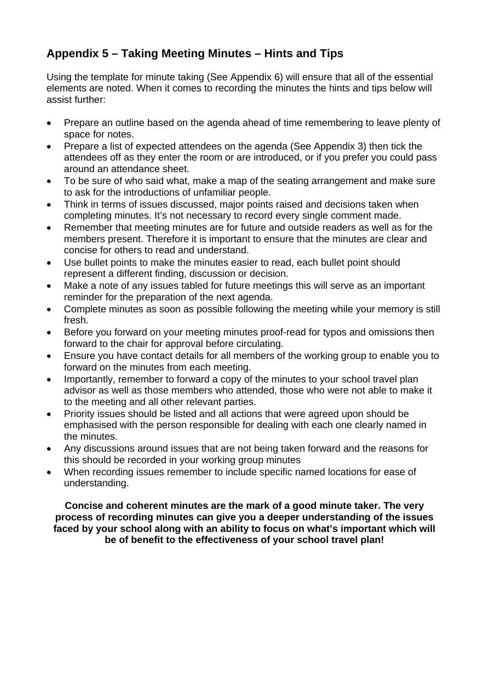### **Appendix 5 – Taking Meeting Minutes – Hints and Tips**

Using the template for minute taking (See Appendix 6) will ensure that all of the essential elements are noted. When it comes to recording the minutes the hints and tips below will assist further:

- Prepare an outline based on the agenda ahead of time remembering to leave plenty of space for notes.
- Prepare a list of expected attendees on the agenda (See Appendix 3) then tick the attendees off as they enter the room or are introduced, or if you prefer you could pass around an attendance sheet.
- To be sure of who said what, make a map of the seating arrangement and make sure to ask for the introductions of unfamiliar people.
- Think in terms of issues discussed, major points raised and decisions taken when completing minutes. It's not necessary to record every single comment made.
- Remember that meeting minutes are for future and outside readers as well as for the members present. Therefore it is important to ensure that the minutes are clear and concise for others to read and understand.
- Use bullet points to make the minutes easier to read, each bullet point should represent a different finding, discussion or decision.
- Make a note of any issues tabled for future meetings this will serve as an important reminder for the preparation of the next agenda.
- Complete minutes as soon as possible following the meeting while your memory is still fresh.
- Before you forward on your meeting minutes proof-read for typos and omissions then forward to the chair for approval before circulating.
- Ensure you have contact details for all members of the working group to enable you to forward on the minutes from each meeting.
- Importantly, remember to forward a copy of the minutes to your school travel plan advisor as well as those members who attended, those who were not able to make it to the meeting and all other relevant parties.
- Priority issues should be listed and all actions that were agreed upon should be emphasised with the person responsible for dealing with each one clearly named in the minutes.
- Any discussions around issues that are not being taken forward and the reasons for this should be recorded in your working group minutes
- When recording issues remember to include specific named locations for ease of understanding.

**Concise and coherent minutes are the mark of a good minute taker. The very process of recording minutes can give you a deeper understanding of the issues faced by your school along with an ability to focus on what's important which will be of benefit to the effectiveness of your school travel plan!**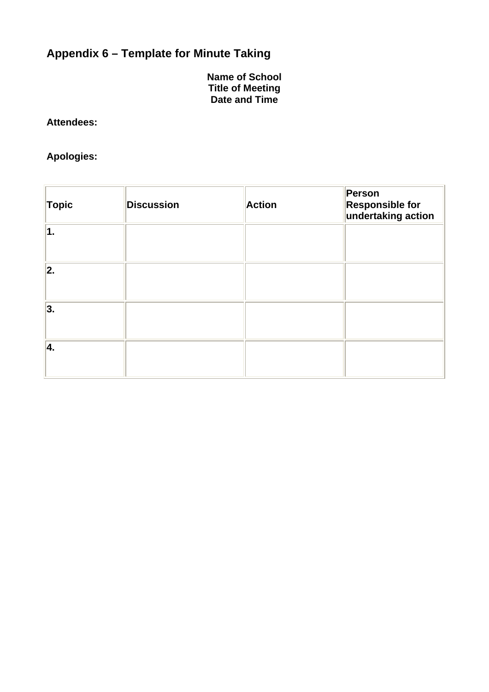## **Appendix 6 – Template for Minute Taking**

**Name of School Title of Meeting Date and Time** 

#### **Attendees:**

### **Apologies:**

| <b>Topic</b> | <b>Discussion</b> | <b>Action</b> | Person<br><b>Responsible for</b><br>undertaking action |
|--------------|-------------------|---------------|--------------------------------------------------------|
| 1.           |                   |               |                                                        |
| 2.           |                   |               |                                                        |
| 3.           |                   |               |                                                        |
| 4.           |                   |               |                                                        |